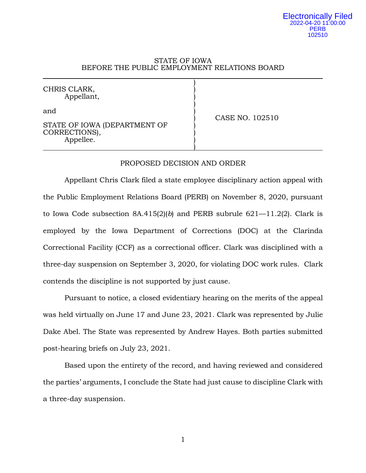## STATE OF IOWA BEFORE THE PUBLIC EMPLOYMENT RELATIONS BOARD

) CHRIS CLARK, ) Appellant, ) ) and  $\qquad \qquad \qquad$ ) CASE NO. 102510 STATE OF IOWA (DEPARTMENT OF CORRECTIONS), Appellee. ) )

### PROPOSED DECISION AND ORDER

Appellant Chris Clark filed a state employee disciplinary action appeal with the Public Employment Relations Board (PERB) on November 8, 2020, pursuant to Iowa Code subsection 8A.415(2)(*b*) and PERB subrule 621—11.2(2). Clark is employed by the Iowa Department of Corrections (DOC) at the Clarinda Correctional Facility (CCF) as a correctional officer. Clark was disciplined with a three-day suspension on September 3, 2020, for violating DOC work rules. Clark contends the discipline is not supported by just cause.

Pursuant to notice, a closed evidentiary hearing on the merits of the appeal was held virtually on June 17 and June 23, 2021. Clark was represented by Julie Dake Abel. The State was represented by Andrew Hayes. Both parties submitted post-hearing briefs on July 23, 2021.

Based upon the entirety of the record, and having reviewed and considered the parties' arguments, I conclude the State had just cause to discipline Clark with a three-day suspension.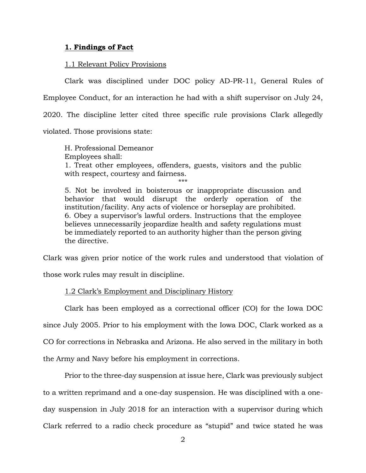## **1. Findings of Fact**

## 1.1 Relevant Policy Provisions

Clark was disciplined under DOC policy AD-PR-11, General Rules of Employee Conduct, for an interaction he had with a shift supervisor on July 24, 2020. The discipline letter cited three specific rule provisions Clark allegedly violated. Those provisions state:

H. Professional Demeanor Employees shall: 1. Treat other employees, offenders, guests, visitors and the public with respect, courtesy and fairness.

\*\*\*

5. Not be involved in boisterous or inappropriate discussion and behavior that would disrupt the orderly operation of the institution/facility. Any acts of violence or horseplay are prohibited. 6. Obey a supervisor's lawful orders. Instructions that the employee believes unnecessarily jeopardize health and safety regulations must be immediately reported to an authority higher than the person giving the directive.

Clark was given prior notice of the work rules and understood that violation of

those work rules may result in discipline.

## 1.2 Clark's Employment and Disciplinary History

Clark has been employed as a correctional officer (CO) for the Iowa DOC since July 2005. Prior to his employment with the Iowa DOC, Clark worked as a CO for corrections in Nebraska and Arizona. He also served in the military in both the Army and Navy before his employment in corrections.

Prior to the three-day suspension at issue here, Clark was previously subject to a written reprimand and a one-day suspension. He was disciplined with a oneday suspension in July 2018 for an interaction with a supervisor during which Clark referred to a radio check procedure as "stupid" and twice stated he was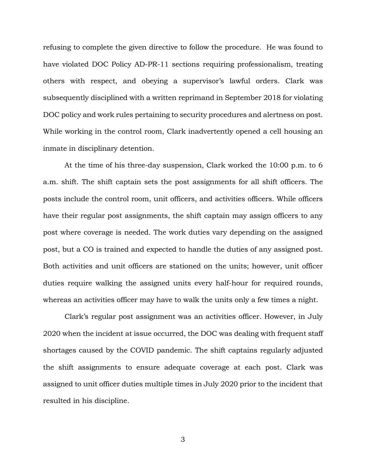refusing to complete the given directive to follow the procedure. He was found to have violated DOC Policy AD-PR-11 sections requiring professionalism, treating others with respect, and obeying a supervisor's lawful orders. Clark was subsequently disciplined with a written reprimand in September 2018 for violating DOC policy and work rules pertaining to security procedures and alertness on post. While working in the control room, Clark inadvertently opened a cell housing an inmate in disciplinary detention.

At the time of his three-day suspension, Clark worked the 10:00 p.m. to 6 a.m. shift. The shift captain sets the post assignments for all shift officers. The posts include the control room, unit officers, and activities officers. While officers have their regular post assignments, the shift captain may assign officers to any post where coverage is needed. The work duties vary depending on the assigned post, but a CO is trained and expected to handle the duties of any assigned post. Both activities and unit officers are stationed on the units; however, unit officer duties require walking the assigned units every half-hour for required rounds, whereas an activities officer may have to walk the units only a few times a night.

Clark's regular post assignment was an activities officer. However, in July 2020 when the incident at issue occurred, the DOC was dealing with frequent staff shortages caused by the COVID pandemic. The shift captains regularly adjusted the shift assignments to ensure adequate coverage at each post. Clark was assigned to unit officer duties multiple times in July 2020 prior to the incident that resulted in his discipline.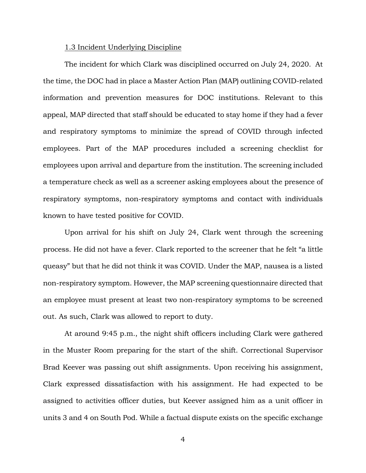## 1.3 Incident Underlying Discipline

The incident for which Clark was disciplined occurred on July 24, 2020. At the time, the DOC had in place a Master Action Plan (MAP) outlining COVID-related information and prevention measures for DOC institutions. Relevant to this appeal, MAP directed that staff should be educated to stay home if they had a fever and respiratory symptoms to minimize the spread of COVID through infected employees. Part of the MAP procedures included a screening checklist for employees upon arrival and departure from the institution. The screening included a temperature check as well as a screener asking employees about the presence of respiratory symptoms, non-respiratory symptoms and contact with individuals known to have tested positive for COVID.

Upon arrival for his shift on July 24, Clark went through the screening process. He did not have a fever. Clark reported to the screener that he felt "a little queasy" but that he did not think it was COVID. Under the MAP, nausea is a listed non-respiratory symptom. However, the MAP screening questionnaire directed that an employee must present at least two non-respiratory symptoms to be screened out. As such, Clark was allowed to report to duty.

At around 9:45 p.m., the night shift officers including Clark were gathered in the Muster Room preparing for the start of the shift. Correctional Supervisor Brad Keever was passing out shift assignments. Upon receiving his assignment, Clark expressed dissatisfaction with his assignment. He had expected to be assigned to activities officer duties, but Keever assigned him as a unit officer in units 3 and 4 on South Pod. While a factual dispute exists on the specific exchange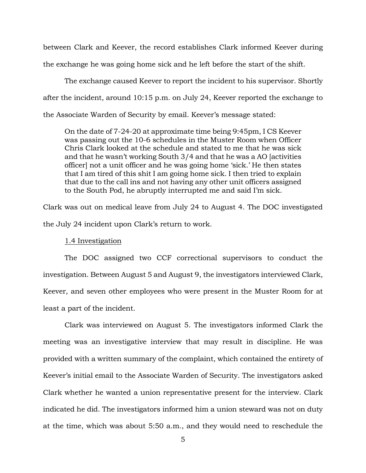between Clark and Keever, the record establishes Clark informed Keever during the exchange he was going home sick and he left before the start of the shift.

The exchange caused Keever to report the incident to his supervisor. Shortly after the incident, around 10:15 p.m. on July 24, Keever reported the exchange to the Associate Warden of Security by email. Keever's message stated:

On the date of 7-24-20 at approximate time being 9:45pm, I CS Keever was passing out the 10-6 schedules in the Muster Room when Officer Chris Clark looked at the schedule and stated to me that he was sick and that he wasn't working South 3/4 and that he was a AO [activities officer] not a unit officer and he was going home 'sick.' He then states that I am tired of this shit I am going home sick. I then tried to explain that due to the call ins and not having any other unit officers assigned to the South Pod, he abruptly interrupted me and said I'm sick.

Clark was out on medical leave from July 24 to August 4. The DOC investigated the July 24 incident upon Clark's return to work.

#### 1.4 Investigation

The DOC assigned two CCF correctional supervisors to conduct the investigation. Between August 5 and August 9, the investigators interviewed Clark, Keever, and seven other employees who were present in the Muster Room for at least a part of the incident.

Clark was interviewed on August 5. The investigators informed Clark the meeting was an investigative interview that may result in discipline. He was provided with a written summary of the complaint, which contained the entirety of Keever's initial email to the Associate Warden of Security. The investigators asked Clark whether he wanted a union representative present for the interview. Clark indicated he did. The investigators informed him a union steward was not on duty at the time, which was about 5:50 a.m., and they would need to reschedule the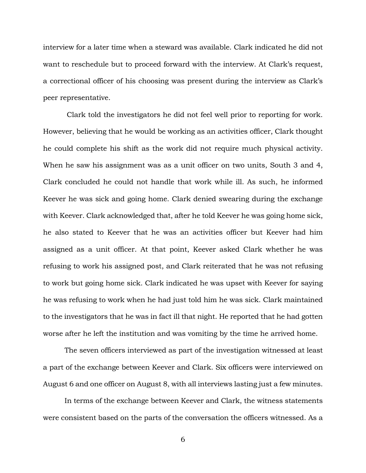interview for a later time when a steward was available. Clark indicated he did not want to reschedule but to proceed forward with the interview. At Clark's request, a correctional officer of his choosing was present during the interview as Clark's peer representative.

Clark told the investigators he did not feel well prior to reporting for work. However, believing that he would be working as an activities officer, Clark thought he could complete his shift as the work did not require much physical activity. When he saw his assignment was as a unit officer on two units, South 3 and 4, Clark concluded he could not handle that work while ill. As such, he informed Keever he was sick and going home. Clark denied swearing during the exchange with Keever. Clark acknowledged that, after he told Keever he was going home sick, he also stated to Keever that he was an activities officer but Keever had him assigned as a unit officer. At that point, Keever asked Clark whether he was refusing to work his assigned post, and Clark reiterated that he was not refusing to work but going home sick. Clark indicated he was upset with Keever for saying he was refusing to work when he had just told him he was sick. Clark maintained to the investigators that he was in fact ill that night. He reported that he had gotten worse after he left the institution and was vomiting by the time he arrived home.

The seven officers interviewed as part of the investigation witnessed at least a part of the exchange between Keever and Clark. Six officers were interviewed on August 6 and one officer on August 8, with all interviews lasting just a few minutes.

In terms of the exchange between Keever and Clark, the witness statements were consistent based on the parts of the conversation the officers witnessed. As a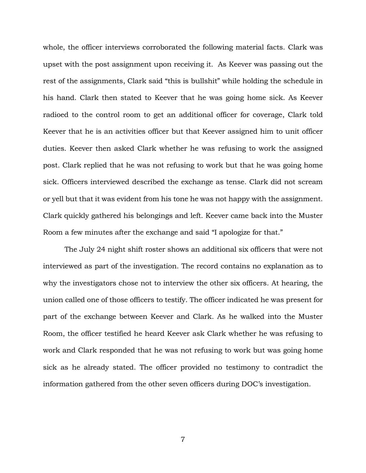whole, the officer interviews corroborated the following material facts. Clark was upset with the post assignment upon receiving it. As Keever was passing out the rest of the assignments, Clark said "this is bullshit" while holding the schedule in his hand. Clark then stated to Keever that he was going home sick. As Keever radioed to the control room to get an additional officer for coverage, Clark told Keever that he is an activities officer but that Keever assigned him to unit officer duties. Keever then asked Clark whether he was refusing to work the assigned post. Clark replied that he was not refusing to work but that he was going home sick. Officers interviewed described the exchange as tense. Clark did not scream or yell but that it was evident from his tone he was not happy with the assignment. Clark quickly gathered his belongings and left. Keever came back into the Muster Room a few minutes after the exchange and said "I apologize for that."

The July 24 night shift roster shows an additional six officers that were not interviewed as part of the investigation. The record contains no explanation as to why the investigators chose not to interview the other six officers. At hearing, the union called one of those officers to testify. The officer indicated he was present for part of the exchange between Keever and Clark. As he walked into the Muster Room, the officer testified he heard Keever ask Clark whether he was refusing to work and Clark responded that he was not refusing to work but was going home sick as he already stated. The officer provided no testimony to contradict the information gathered from the other seven officers during DOC's investigation.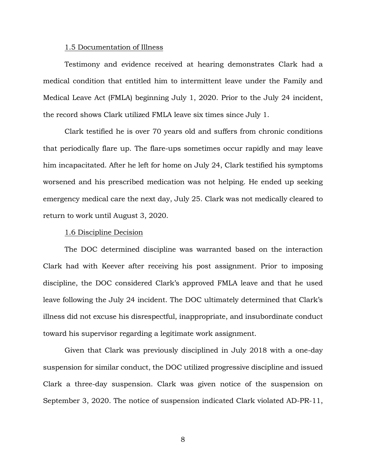## 1.5 Documentation of Illness

Testimony and evidence received at hearing demonstrates Clark had a medical condition that entitled him to intermittent leave under the Family and Medical Leave Act (FMLA) beginning July 1, 2020. Prior to the July 24 incident, the record shows Clark utilized FMLA leave six times since July 1.

Clark testified he is over 70 years old and suffers from chronic conditions that periodically flare up. The flare-ups sometimes occur rapidly and may leave him incapacitated. After he left for home on July 24, Clark testified his symptoms worsened and his prescribed medication was not helping. He ended up seeking emergency medical care the next day, July 25. Clark was not medically cleared to return to work until August 3, 2020.

### 1.6 Discipline Decision

The DOC determined discipline was warranted based on the interaction Clark had with Keever after receiving his post assignment. Prior to imposing discipline, the DOC considered Clark's approved FMLA leave and that he used leave following the July 24 incident. The DOC ultimately determined that Clark's illness did not excuse his disrespectful, inappropriate, and insubordinate conduct toward his supervisor regarding a legitimate work assignment.

Given that Clark was previously disciplined in July 2018 with a one-day suspension for similar conduct, the DOC utilized progressive discipline and issued Clark a three-day suspension. Clark was given notice of the suspension on September 3, 2020. The notice of suspension indicated Clark violated AD-PR-11,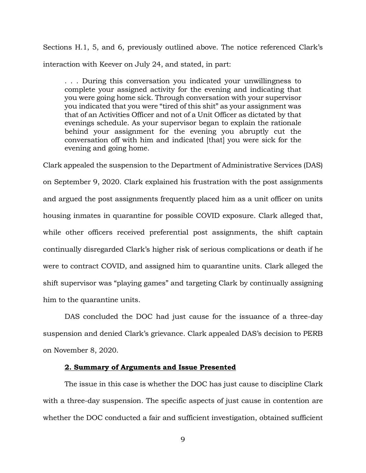Sections H.1, 5, and 6, previously outlined above. The notice referenced Clark's interaction with Keever on July 24, and stated, in part:

. . . During this conversation you indicated your unwillingness to complete your assigned activity for the evening and indicating that you were going home sick. Through conversation with your supervisor you indicated that you were "tired of this shit" as your assignment was that of an Activities Officer and not of a Unit Officer as dictated by that evenings schedule. As your supervisor began to explain the rationale behind your assignment for the evening you abruptly cut the conversation off with him and indicated [that] you were sick for the evening and going home.

Clark appealed the suspension to the Department of Administrative Services (DAS) on September 9, 2020. Clark explained his frustration with the post assignments and argued the post assignments frequently placed him as a unit officer on units housing inmates in quarantine for possible COVID exposure. Clark alleged that, while other officers received preferential post assignments, the shift captain continually disregarded Clark's higher risk of serious complications or death if he were to contract COVID, and assigned him to quarantine units. Clark alleged the shift supervisor was "playing games" and targeting Clark by continually assigning him to the quarantine units.

DAS concluded the DOC had just cause for the issuance of a three-day suspension and denied Clark's grievance. Clark appealed DAS's decision to PERB on November 8, 2020.

## **2. Summary of Arguments and Issue Presented**

The issue in this case is whether the DOC has just cause to discipline Clark with a three-day suspension. The specific aspects of just cause in contention are whether the DOC conducted a fair and sufficient investigation, obtained sufficient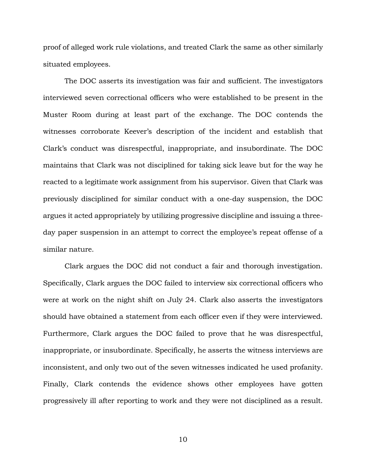proof of alleged work rule violations, and treated Clark the same as other similarly situated employees.

The DOC asserts its investigation was fair and sufficient. The investigators interviewed seven correctional officers who were established to be present in the Muster Room during at least part of the exchange. The DOC contends the witnesses corroborate Keever's description of the incident and establish that Clark's conduct was disrespectful, inappropriate, and insubordinate. The DOC maintains that Clark was not disciplined for taking sick leave but for the way he reacted to a legitimate work assignment from his supervisor. Given that Clark was previously disciplined for similar conduct with a one-day suspension, the DOC argues it acted appropriately by utilizing progressive discipline and issuing a threeday paper suspension in an attempt to correct the employee's repeat offense of a similar nature.

Clark argues the DOC did not conduct a fair and thorough investigation. Specifically, Clark argues the DOC failed to interview six correctional officers who were at work on the night shift on July 24. Clark also asserts the investigators should have obtained a statement from each officer even if they were interviewed. Furthermore, Clark argues the DOC failed to prove that he was disrespectful, inappropriate, or insubordinate. Specifically, he asserts the witness interviews are inconsistent, and only two out of the seven witnesses indicated he used profanity. Finally, Clark contends the evidence shows other employees have gotten progressively ill after reporting to work and they were not disciplined as a result.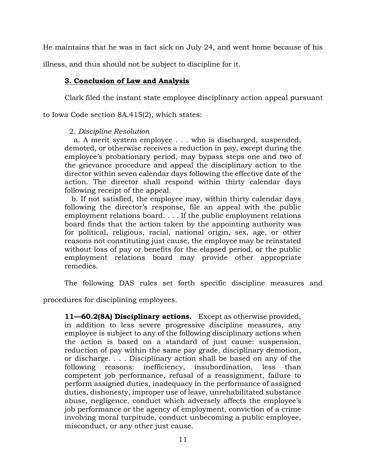He maintains that he was in fact sick on July 24, and went home because of his

illness, and thus should not be subject to discipline for it.

# **3. Conclusion of Law and Analysis**

Clark filed the instant state employee disciplinary action appeal pursuant

to Iowa Code section 8A.415(2), which states:

# 2. *Discipline Resolution*

 a. A merit system employee . . . who is discharged, suspended, demoted, or otherwise receives a reduction in pay, except during the employee's probationary period, may bypass steps one and two of the grievance procedure and appeal the disciplinary action to the director within seven calendar days following the effective date of the action. The director shall respond within thirty calendar days following receipt of the appeal.

 b. If not satisfied, the employee may, within thirty calendar days following the director's response, file an appeal with the public employment relations board. . . . If the public employment relations board finds that the action taken by the appointing authority was for political, religious, racial, national origin, sex, age, or other reasons not constituting just cause, the employee may be reinstated without loss of pay or benefits for the elapsed period, or the public employment relations board may provide other appropriate remedies.

The following DAS rules set forth specific discipline measures and

procedures for disciplining employees.

**11—60.2(8A) Disciplinary actions.** Except as otherwise provided, in addition to less severe progressive discipline measures, any employee is subject to any of the following disciplinary actions when the action is based on a standard of just cause: suspension, reduction of pay within the same pay grade, disciplinary demotion, or discharge. . . . Disciplinary action shall be based on any of the following reasons: inefficiency, insubordination, less than competent job performance, refusal of a reassignment, failure to perform assigned duties, inadequacy in the performance of assigned duties, dishonesty, improper use of leave, unrehabilitated substance abuse, negligence, conduct which adversely affects the employee's job performance or the agency of employment, conviction of a crime involving moral turpitude, conduct unbecoming a public employee, misconduct, or any other just cause.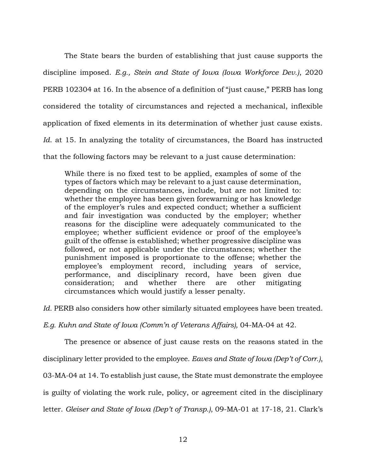The State bears the burden of establishing that just cause supports the discipline imposed. *E.g., Stein and State of Iowa (Iowa Workforce Dev.)*, 2020 PERB 102304 at 16. In the absence of a definition of "just cause," PERB has long considered the totality of circumstances and rejected a mechanical, inflexible application of fixed elements in its determination of whether just cause exists. *Id*. at 15. In analyzing the totality of circumstances, the Board has instructed that the following factors may be relevant to a just cause determination:

While there is no fixed test to be applied, examples of some of the types of factors which may be relevant to a just cause determination, depending on the circumstances, include, but are not limited to: whether the employee has been given forewarning or has knowledge of the employer's rules and expected conduct; whether a sufficient and fair investigation was conducted by the employer; whether reasons for the discipline were adequately communicated to the employee; whether sufficient evidence or proof of the employee's guilt of the offense is established; whether progressive discipline was followed, or not applicable under the circumstances; whether the punishment imposed is proportionate to the offense; whether the employee's employment record, including years of service, performance, and disciplinary record, have been given due consideration; and whether there are other mitigating circumstances which would justify a lesser penalty.

Id. PERB also considers how other similarly situated employees have been treated.

*E.g. Kuhn and State of Iowa (Comm'n of Veterans Affairs),* 04-MA-04 at 42.

The presence or absence of just cause rests on the reasons stated in the

disciplinary letter provided to the employee. *Eaves and State of Iowa (Dep't of Corr.)*,

03-MA-04 at 14. To establish just cause, the State must demonstrate the employee

is guilty of violating the work rule, policy, or agreement cited in the disciplinary

letter. *Gleiser and State of Iowa (Dep't of Transp.)*, 09-MA-01 at 17-18, 21. Clark's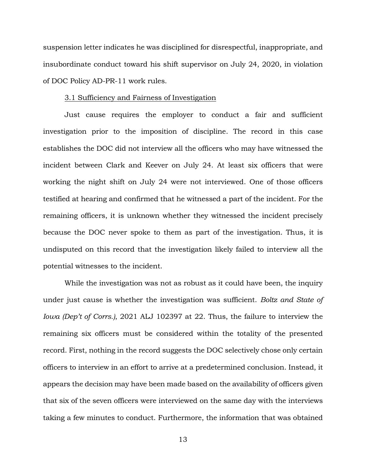suspension letter indicates he was disciplined for disrespectful, inappropriate, and insubordinate conduct toward his shift supervisor on July 24, 2020, in violation of DOC Policy AD-PR-11 work rules.

#### 3.1 Sufficiency and Fairness of Investigation

Just cause requires the employer to conduct a fair and sufficient investigation prior to the imposition of discipline. The record in this case establishes the DOC did not interview all the officers who may have witnessed the incident between Clark and Keever on July 24. At least six officers that were working the night shift on July 24 were not interviewed. One of those officers testified at hearing and confirmed that he witnessed a part of the incident. For the remaining officers, it is unknown whether they witnessed the incident precisely because the DOC never spoke to them as part of the investigation. Thus, it is undisputed on this record that the investigation likely failed to interview all the potential witnesses to the incident.

While the investigation was not as robust as it could have been, the inquiry under just cause is whether the investigation was sufficient. *Boltz and State of Iowa (Dep't of Corrs.)*, 2021 ALJ 102397 at 22. Thus, the failure to interview the remaining six officers must be considered within the totality of the presented record. First, nothing in the record suggests the DOC selectively chose only certain officers to interview in an effort to arrive at a predetermined conclusion. Instead, it appears the decision may have been made based on the availability of officers given that six of the seven officers were interviewed on the same day with the interviews taking a few minutes to conduct. Furthermore, the information that was obtained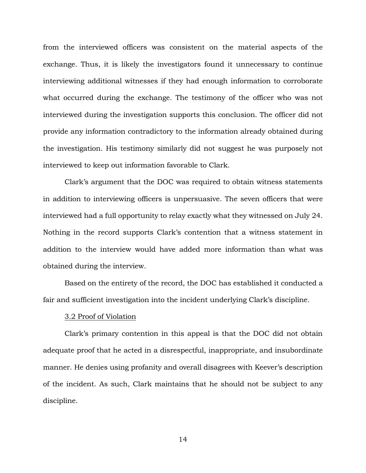from the interviewed officers was consistent on the material aspects of the exchange. Thus, it is likely the investigators found it unnecessary to continue interviewing additional witnesses if they had enough information to corroborate what occurred during the exchange. The testimony of the officer who was not interviewed during the investigation supports this conclusion. The officer did not provide any information contradictory to the information already obtained during the investigation. His testimony similarly did not suggest he was purposely not interviewed to keep out information favorable to Clark.

Clark's argument that the DOC was required to obtain witness statements in addition to interviewing officers is unpersuasive. The seven officers that were interviewed had a full opportunity to relay exactly what they witnessed on July 24. Nothing in the record supports Clark's contention that a witness statement in addition to the interview would have added more information than what was obtained during the interview.

Based on the entirety of the record, the DOC has established it conducted a fair and sufficient investigation into the incident underlying Clark's discipline.

## 3.2 Proof of Violation

Clark's primary contention in this appeal is that the DOC did not obtain adequate proof that he acted in a disrespectful, inappropriate, and insubordinate manner. He denies using profanity and overall disagrees with Keever's description of the incident. As such, Clark maintains that he should not be subject to any discipline.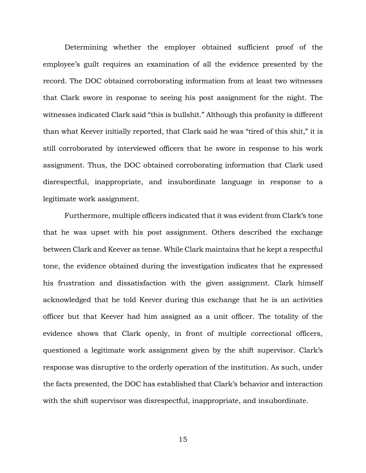Determining whether the employer obtained sufficient proof of the employee's guilt requires an examination of all the evidence presented by the record. The DOC obtained corroborating information from at least two witnesses that Clark swore in response to seeing his post assignment for the night. The witnesses indicated Clark said "this is bullshit." Although this profanity is different than what Keever initially reported, that Clark said he was "tired of this shit," it is still corroborated by interviewed officers that he swore in response to his work assignment. Thus, the DOC obtained corroborating information that Clark used disrespectful, inappropriate, and insubordinate language in response to a legitimate work assignment.

Furthermore, multiple officers indicated that it was evident from Clark's tone that he was upset with his post assignment. Others described the exchange between Clark and Keever as tense. While Clark maintains that he kept a respectful tone, the evidence obtained during the investigation indicates that he expressed his frustration and dissatisfaction with the given assignment. Clark himself acknowledged that he told Keever during this exchange that he is an activities officer but that Keever had him assigned as a unit officer. The totality of the evidence shows that Clark openly, in front of multiple correctional officers, questioned a legitimate work assignment given by the shift supervisor. Clark's response was disruptive to the orderly operation of the institution. As such, under the facts presented, the DOC has established that Clark's behavior and interaction with the shift supervisor was disrespectful, inappropriate, and insubordinate.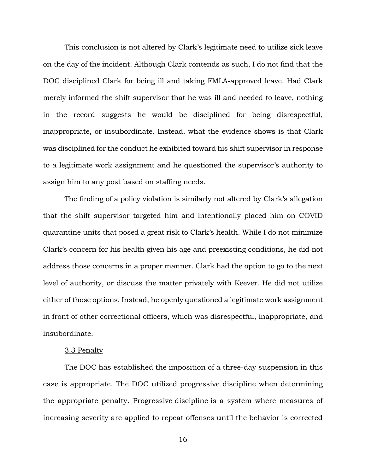This conclusion is not altered by Clark's legitimate need to utilize sick leave on the day of the incident. Although Clark contends as such, I do not find that the DOC disciplined Clark for being ill and taking FMLA-approved leave. Had Clark merely informed the shift supervisor that he was ill and needed to leave, nothing in the record suggests he would be disciplined for being disrespectful, inappropriate, or insubordinate. Instead, what the evidence shows is that Clark was disciplined for the conduct he exhibited toward his shift supervisor in response to a legitimate work assignment and he questioned the supervisor's authority to assign him to any post based on staffing needs.

The finding of a policy violation is similarly not altered by Clark's allegation that the shift supervisor targeted him and intentionally placed him on COVID quarantine units that posed a great risk to Clark's health. While I do not minimize Clark's concern for his health given his age and preexisting conditions, he did not address those concerns in a proper manner. Clark had the option to go to the next level of authority, or discuss the matter privately with Keever. He did not utilize either of those options. Instead, he openly questioned a legitimate work assignment in front of other correctional officers, which was disrespectful, inappropriate, and insubordinate.

#### 3.3 Penalty

The DOC has established the imposition of a three-day suspension in this case is appropriate. The DOC utilized progressive discipline when determining the appropriate penalty. Progressive discipline is a system where measures of increasing severity are applied to repeat offenses until the behavior is corrected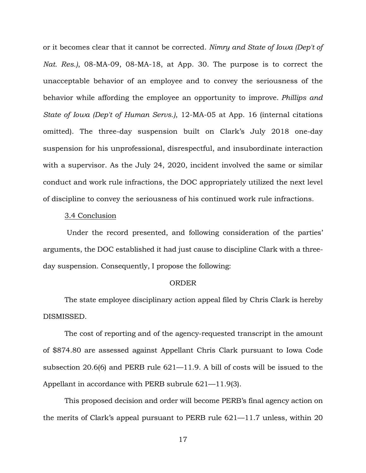or it becomes clear that it cannot be corrected. *Nimry and State of Iowa (Dep't of Nat. Res.)*, 08-MA-09, 08-MA-18, at App. 30. The purpose is to correct the unacceptable behavior of an employee and to convey the seriousness of the behavior while affording the employee an opportunity to improve. *Phillips and State of Iowa (Dep't of Human Servs.)*, 12-MA-05 at App. 16 (internal citations omitted). The three-day suspension built on Clark's July 2018 one-day suspension for his unprofessional, disrespectful, and insubordinate interaction with a supervisor. As the July 24, 2020, incident involved the same or similar conduct and work rule infractions, the DOC appropriately utilized the next level of discipline to convey the seriousness of his continued work rule infractions.

### 3.4 Conclusion

Under the record presented, and following consideration of the parties' arguments, the DOC established it had just cause to discipline Clark with a threeday suspension. Consequently, I propose the following:

#### ORDER

The state employee disciplinary action appeal filed by Chris Clark is hereby DISMISSED.

The cost of reporting and of the agency-requested transcript in the amount of \$874.80 are assessed against Appellant Chris Clark pursuant to Iowa Code subsection 20.6(6) and PERB rule 621—11.9. A bill of costs will be issued to the Appellant in accordance with PERB subrule 621—11.9(3).

This proposed decision and order will become PERB's final agency action on the merits of Clark's appeal pursuant to PERB rule 621—11.7 unless, within 20